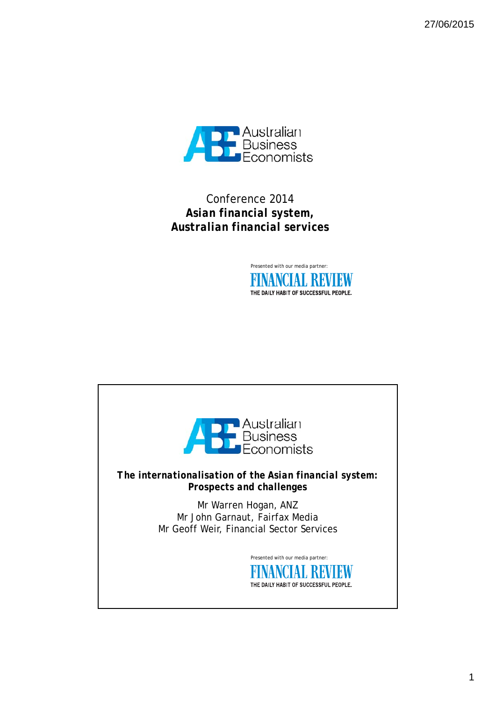27/06/2015



Conference 2014 *Asian financial system, Australian financial services*



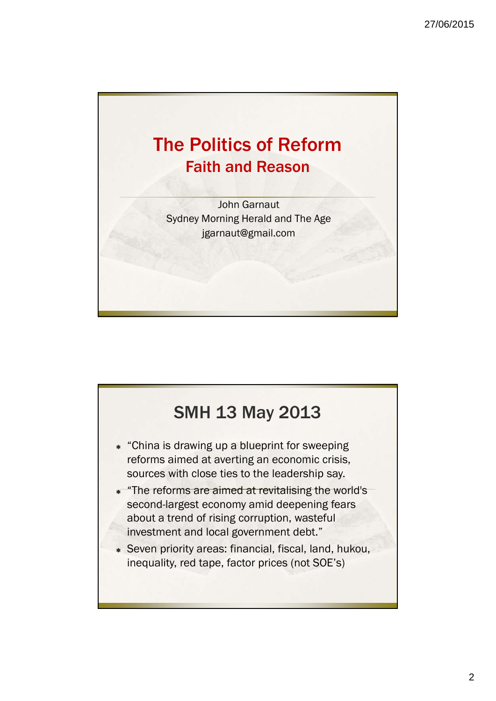

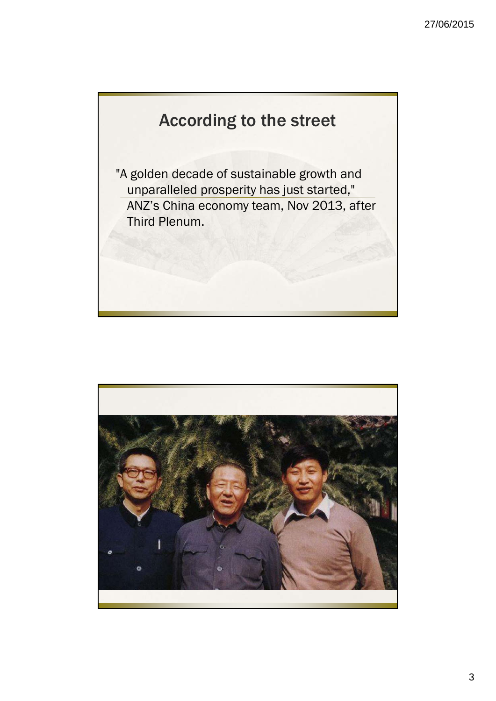## According to the street

"A golden decade of sustainable growth and unparalleled prosperity has just started," ANZ's China economy team, Nov 2013, after Third Plenum.

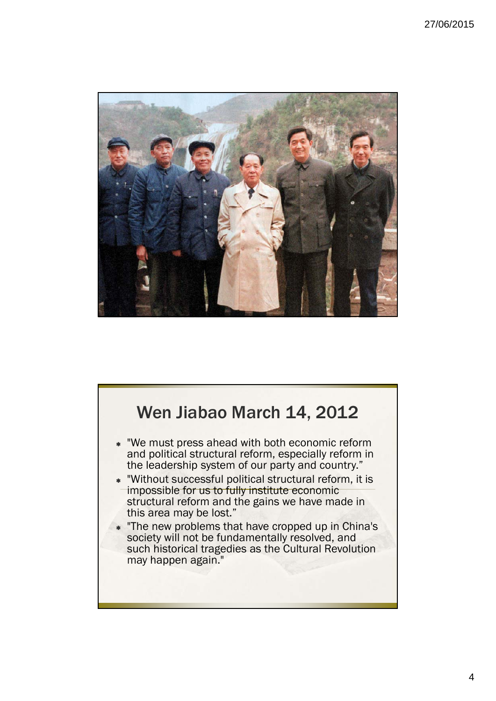

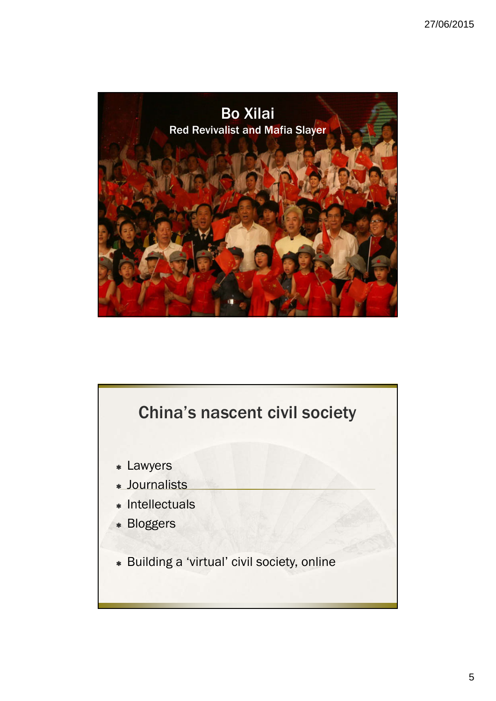

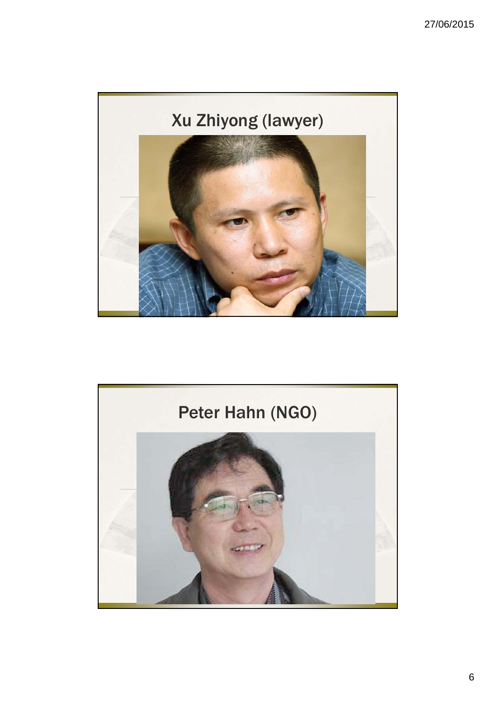

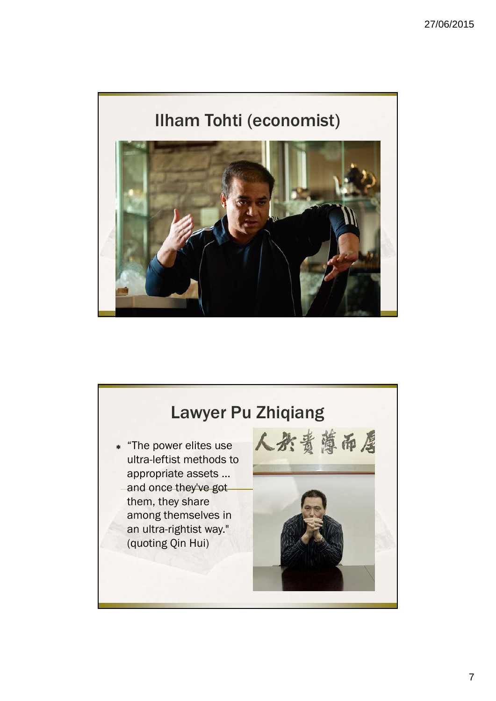

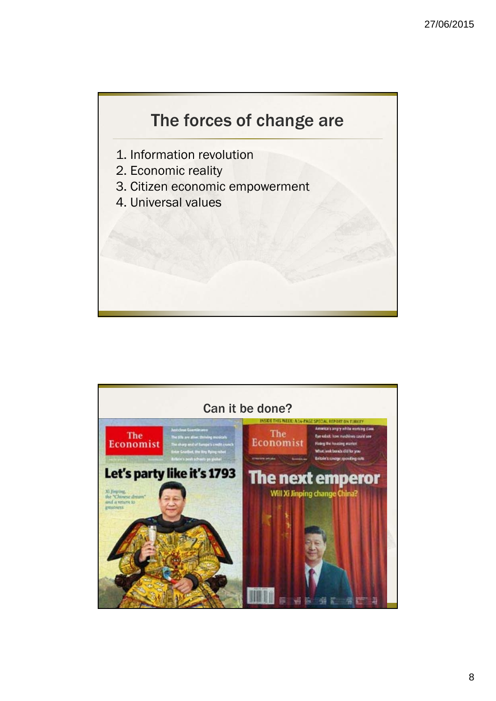